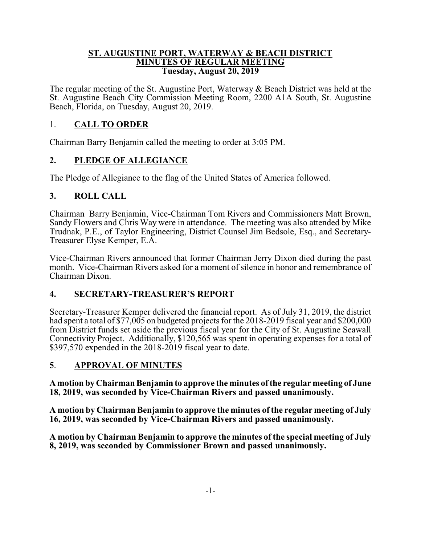#### **ST. AUGUSTINE PORT, WATERWAY & BEACH DISTRICT MINUTES OF REGULAR MEETING Tuesday, August 20, 2019**

The regular meeting of the St. Augustine Port, Waterway & Beach District was held at the St. Augustine Beach City Commission Meeting Room, 2200 A1A South, St. Augustine Beach, Florida, on Tuesday, August 20, 2019.

# 1. **CALL TO ORDER**

Chairman Barry Benjamin called the meeting to order at 3:05 PM.

# **2. PLEDGE OF ALLEGIANCE**

The Pledge of Allegiance to the flag of the United States of America followed.

# **3. ROLL CALL**

Chairman Barry Benjamin, Vice-Chairman Tom Rivers and Commissioners Matt Brown, Sandy Flowers and Chris Way were in attendance. The meeting was also attended by Mike Trudnak, P.E., of Taylor Engineering, District Counsel Jim Bedsole, Esq., and Secretary-Treasurer Elyse Kemper, E.A.

Vice-Chairman Rivers announced that former Chairman Jerry Dixon died during the past month. Vice-Chairman Rivers asked for a moment of silence in honor and remembrance of Chairman Dixon.

## **4. SECRETARY-TREASURER'S REPORT**

Secretary-Treasurer Kemper delivered the financial report. As of July 31, 2019, the district had spent a total of \$77,005 on budgeted projects for the 2018-2019 fiscal year and \$200,000 from District funds set aside the previous fiscal year for the City of St. Augustine Seawall Connectivity Project. Additionally, \$120,565 was spent in operating expenses for a total of \$397,570 expended in the 2018-2019 fiscal year to date.

## **5**. **APPROVAL OF MINUTES**

**A motion by Chairman Benjamin to approve the minutes of the regular meeting of June 18, 2019, was seconded by Vice-Chairman Rivers and passed unanimously.**

**A motion by Chairman Benjamin to approve the minutes of the regular meeting of July 16, 2019, was seconded by Vice-Chairman Rivers and passed unanimously.**

**A motion by Chairman Benjamin to approve the minutes of the special meeting of July 8, 2019, was seconded by Commissioner Brown and passed unanimously.**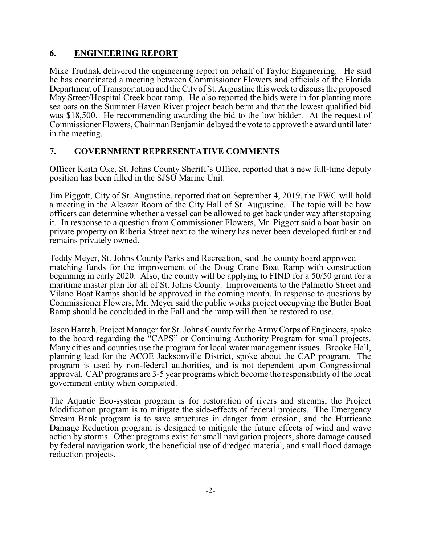# **6. ENGINEERING REPORT**

Mike Trudnak delivered the engineering report on behalf of Taylor Engineering. He said he has coordinated a meeting between Commissioner Flowers and officials of the Florida Department of Transportation and the Cityof St. Augustine this week to discuss the proposed May Street/Hospital Creek boat ramp. He also reported the bids were in for planting more sea oats on the Summer Haven River project beach berm and that the lowest qualified bid was \$18,500. He recommending awarding the bid to the low bidder. At the request of Commissioner Flowers, Chairman Benjamin delayed the vote to approve the award until later in the meeting.

## **7. GOVERNMENT REPRESENTATIVE COMMENTS**

Officer Keith Oke, St. Johns County Sheriff's Office, reported that a new full-time deputy position has been filled in the SJSO Marine Unit.

Jim Piggott, City of St. Augustine, reported that on September 4, 2019, the FWC will hold a meeting in the Alcazar Room of the City Hall of St. Augustine. The topic will be how officers can determine whether a vessel can be allowed to get back under way after stopping it. In response to a question from Commissioner Flowers, Mr. Piggott said a boat basin on private property on Riberia Street next to the winery has never been developed further and remains privately owned.

Teddy Meyer, St. Johns County Parks and Recreation, said the county board approved matching funds for the improvement of the Doug Crane Boat Ramp with construction beginning in early 2020. Also, the county will be applying to FIND for a 50/50 grant for a maritime master plan for all of St. Johns County. Improvements to the Palmetto Street and Vilano Boat Ramps should be approved in the coming month. In response to questions by Commissioner Flowers, Mr. Meyer said the public works project occupying the Butler Boat Ramp should be concluded in the Fall and the ramp will then be restored to use.

Jason Harrah, Project Manager for St. Johns County for the ArmyCorps of Engineers, spoke to the board regarding the "CAPS" or Continuing Authority Program for small projects. Many cities and counties use the program for local water management issues. Brooke Hall, planning lead for the ACOE Jacksonville District, spoke about the CAP program. The program is used by non-federal authorities, and is not dependent upon Congressional approval. CAP programs are 3-5 year programs which become the responsibility of the local government entity when completed.

The Aquatic Eco-system program is for restoration of rivers and streams, the Project Modification program is to mitigate the side-effects of federal projects. The Emergency Stream Bank program is to save structures in danger from erosion, and the Hurricane Damage Reduction program is designed to mitigate the future effects of wind and wave action by storms. Other programs exist for small navigation projects, shore damage caused by federal navigation work, the beneficial use of dredged material, and small flood damage reduction projects.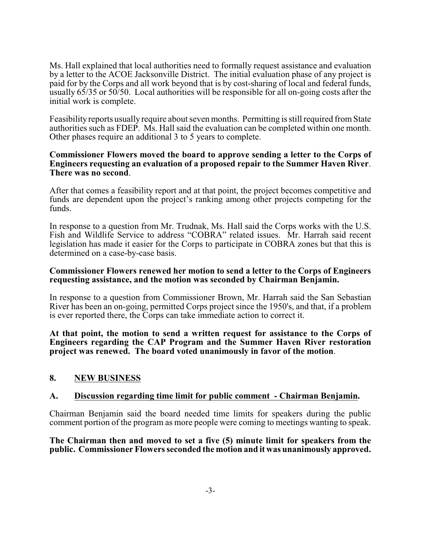Ms. Hall explained that local authorities need to formally request assistance and evaluation by a letter to the ACOE Jacksonville District. The initial evaluation phase of any project is paid for by the Corps and all work beyond that is by cost-sharing of local and federal funds, usually 65/35 or 50/50. Local authorities will be responsible for all on-going costs after the initial work is complete.

Feasibility reports usually require about seven months. Permitting is still required fromState authorities such as FDEP. Ms. Hall said the evaluation can be completed within one month. Other phases require an additional 3 to 5 years to complete.

#### **Commissioner Flowers moved the board to approve sending a letter to the Corps of Engineers requesting an evaluation of a proposed repair to the Summer Haven River**. **There was no second**.

After that comes a feasibility report and at that point, the project becomes competitive and funds are dependent upon the project's ranking among other projects competing for the funds.

In response to a question from Mr. Trudnak, Ms. Hall said the Corps works with the U.S. Fish and Wildlife Service to address "COBRA" related issues. Mr. Harrah said recent legislation has made it easier for the Corps to participate in COBRA zones but that this is determined on a case-by-case basis.

### **Commissioner Flowers renewed her motion to send a letter to the Corps of Engineers requesting assistance, and the motion was seconded by Chairman Benjamin.**

In response to a question from Commissioner Brown, Mr. Harrah said the San Sebastian River has been an on-going, permitted Corps project since the 1950's, and that, if a problem is ever reported there, the Corps can take immediate action to correct it.

**At that point, the motion to send a written request for assistance to the Corps of Engineers regarding the CAP Program and the Summer Haven River restoration project was renewed. The board voted unanimously in favor of the motion**.

## **8. NEW BUSINESS**

### **A. Discussion regarding time limit for public comment - Chairman Benjamin.**

Chairman Benjamin said the board needed time limits for speakers during the public comment portion of the program as more people were coming to meetings wanting to speak.

**The Chairman then and moved to set a five (5) minute limit for speakers from the public. Commissioner Flowers seconded the motion and it was unanimously approved.**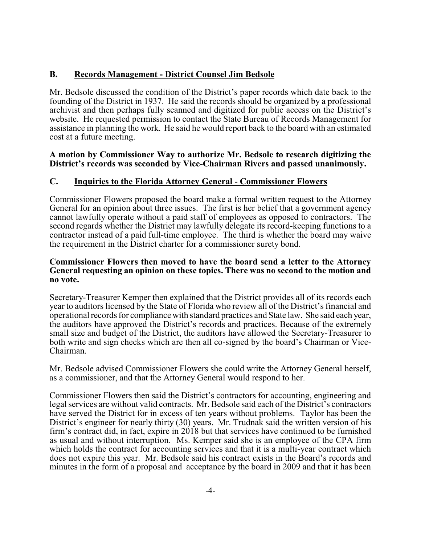## **B. Records Management - District Counsel Jim Bedsole**

Mr. Bedsole discussed the condition of the District's paper records which date back to the founding of the District in 1937. He said the records should be organized by a professional archivist and then perhaps fully scanned and digitized for public access on the District's website. He requested permission to contact the State Bureau of Records Management for assistance in planning the work. He said he would report back to the board with an estimated cost at a future meeting.

### **A motion by Commissioner Way to authorize Mr. Bedsole to research digitizing the District's records was seconded by Vice-Chairman Rivers and passed unanimously.**

## **C. Inquiries to the Florida Attorney General - Commissioner Flowers**

Commissioner Flowers proposed the board make a formal written request to the Attorney General for an opinion about three issues. The first is her belief that a government agency cannot lawfully operate without a paid staff of employees as opposed to contractors. The second regards whether the District may lawfully delegate its record-keeping functions to a contractor instead of a paid full-time employee. The third is whether the board may waive the requirement in the District charter for a commissioner surety bond.

#### **Commissioner Flowers then moved to have the board send a letter to the Attorney General requesting an opinion on these topics. There was no second to the motion and no vote.**

Secretary-Treasurer Kemper then explained that the District provides all of its records each year to auditors licensed by the State of Florida who review all of the District's financial and operational records for compliance with standard practices and State law. She said each year, the auditors have approved the District's records and practices. Because of the extremely small size and budget of the District, the auditors have allowed the Secretary-Treasurer to both write and sign checks which are then all co-signed by the board's Chairman or Vice-Chairman.

Mr. Bedsole advised Commissioner Flowers she could write the Attorney General herself, as a commissioner, and that the Attorney General would respond to her.

Commissioner Flowers then said the District's contractors for accounting, engineering and legal services are without valid contracts. Mr. Bedsole said each of the District's contractors have served the District for in excess of ten years without problems. Taylor has been the District's engineer for nearly thirty (30) years. Mr. Trudnak said the written version of his firm's contract did, in fact, expire in 2018 but that services have continued to be furnished as usual and without interruption. Ms. Kemper said she is an employee of the CPA firm which holds the contract for accounting services and that it is a multi-year contract which does not expire this year. Mr. Bedsole said his contract exists in the Board's records and minutes in the form of a proposal and acceptance by the board in 2009 and that it has been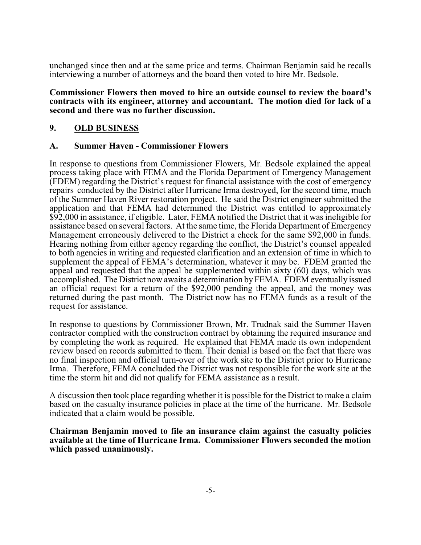unchanged since then and at the same price and terms. Chairman Benjamin said he recalls interviewing a number of attorneys and the board then voted to hire Mr. Bedsole.

#### **Commissioner Flowers then moved to hire an outside counsel to review the board's contracts with its engineer, attorney and accountant. The motion died for lack of a second and there was no further discussion.**

# **9. OLD BUSINESS**

### **A. Summer Haven - Commissioner Flowers**

In response to questions from Commissioner Flowers, Mr. Bedsole explained the appeal process taking place with FEMA and the Florida Department of Emergency Management (FDEM) regarding the District's request for financial assistance with the cost of emergency repairs conducted by the District after Hurricane Irma destroyed, for the second time, much of the Summer Haven River restoration project. He said the District engineer submitted the application and that FEMA had determined the District was entitled to approximately \$92,000 in assistance, if eligible. Later, FEMA notified the District that it was ineligible for assistance based on several factors. At the same time, the Florida Department of Emergency Management erroneously delivered to the District a check for the same \$92,000 in funds. Hearing nothing from either agency regarding the conflict, the District's counsel appealed to both agencies in writing and requested clarification and an extension of time in which to supplement the appeal of FEMA's determination, whatever it may be. FDEM granted the appeal and requested that the appeal be supplemented within sixty (60) days, which was accomplished. The District now awaits a determination byFEMA. FDEM eventually issued an official request for a return of the \$92,000 pending the appeal, and the money was returned during the past month. The District now has no FEMA funds as a result of the request for assistance.

In response to questions by Commissioner Brown, Mr. Trudnak said the Summer Haven contractor complied with the construction contract by obtaining the required insurance and by completing the work as required. He explained that FEMA made its own independent review based on records submitted to them. Their denial is based on the fact that there was no final inspection and official turn-over of the work site to the District prior to Hurricane Irma. Therefore, FEMA concluded the District was not responsible for the work site at the time the storm hit and did not qualify for FEMA assistance as a result.

A discussion then took place regarding whether it is possible for the District to make a claim based on the casualty insurance policies in place at the time of the hurricane. Mr. Bedsole indicated that a claim would be possible.

**Chairman Benjamin moved to file an insurance claim against the casualty policies available at the time of Hurricane Irma. Commissioner Flowers seconded the motion which passed unanimously.**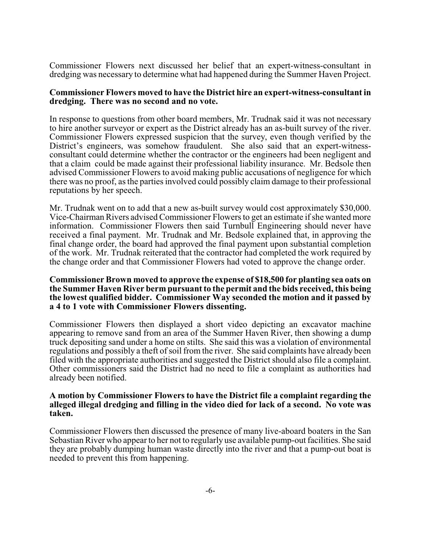Commissioner Flowers next discussed her belief that an expert-witness-consultant in dredging was necessary to determine what had happened during the Summer Haven Project.

### **Commissioner Flowers moved to have the District hire an expert-witness-consultant in dredging. There was no second and no vote.**

In response to questions from other board members, Mr. Trudnak said it was not necessary to hire another surveyor or expert as the District already has an as-built survey of the river. Commissioner Flowers expressed suspicion that the survey, even though verified by the District's engineers, was somehow fraudulent. She also said that an expert-witnessconsultant could determine whether the contractor or the engineers had been negligent and that a claim could be made against their professional liability insurance. Mr. Bedsole then advised Commissioner Flowers to avoid making public accusations of negligence for which there was no proof, as the parties involved could possibly claim damage to their professional reputations by her speech.

Mr. Trudnak went on to add that a new as-built survey would cost approximately \$30,000. Vice-Chairman Rivers advised Commissioner Flowers to get an estimate if she wanted more information. Commissioner Flowers then said Turnbull Engineering should never have received a final payment. Mr. Trudnak and Mr. Bedsole explained that, in approving the final change order, the board had approved the final payment upon substantial completion of the work. Mr. Trudnak reiterated that the contractor had completed the work required by the change order and that Commissioner Flowers had voted to approve the change order.

#### **Commissioner Brown moved to approve the expense of \$18,500 for planting sea oats on the Summer Haven River berm pursuant to the permit and the bids received, this being the lowest qualified bidder. Commissioner Way seconded the motion and it passed by a 4 to 1 vote with Commissioner Flowers dissenting.**

Commissioner Flowers then displayed a short video depicting an excavator machine appearing to remove sand from an area of the Summer Haven River, then showing a dump truck depositing sand under a home on stilts. She said this was a violation of environmental regulations and possibly a theft of soil from the river. She said complaints have already been filed with the appropriate authorities and suggested the District should also file a complaint. Other commissioners said the District had no need to file a complaint as authorities had already been notified.

#### **A motion by Commissioner Flowers to have the District file a complaint regarding the alleged illegal dredging and filling in the video died for lack of a second. No vote was taken.**

Commissioner Flowers then discussed the presence of many live-aboard boaters in the San Sebastian River who appear to her not to regularly use available pump-out facilities. She said they are probably dumping human waste directly into the river and that a pump-out boat is needed to prevent this from happening.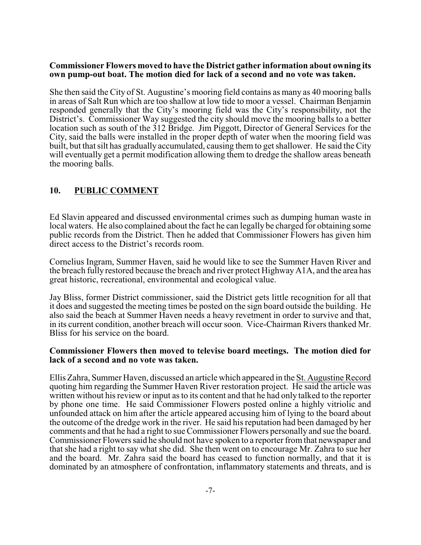#### **Commissioner Flowers moved to have the District gather information about owning its own pump-out boat. The motion died for lack of a second and no vote was taken.**

She then said the City of St. Augustine's mooring field contains as many as 40 mooring balls in areas of Salt Run which are too shallow at low tide to moor a vessel. Chairman Benjamin responded generally that the City's mooring field was the City's responsibility, not the District's. Commissioner Way suggested the city should move the mooring balls to a better location such as south of the 312 Bridge. Jim Piggott, Director of General Services for the City, said the balls were installed in the proper depth of water when the mooring field was built, but that silt has gradually accumulated, causing them to get shallower. He said the City will eventually get a permit modification allowing them to dredge the shallow areas beneath the mooring balls.

## **10. PUBLIC COMMENT**

Ed Slavin appeared and discussed environmental crimes such as dumping human waste in local waters. He also complained about the fact he can legally be charged for obtaining some public records from the District. Then he added that Commissioner Flowers has given him direct access to the District's records room.

Cornelius Ingram, Summer Haven, said he would like to see the Summer Haven River and the breach fully restored because the breach and river protect HighwayA1A, and the area has great historic, recreational, environmental and ecological value.

Jay Bliss, former District commissioner, said the District gets little recognition for all that it does and suggested the meeting times be posted on the sign board outside the building. He also said the beach at Summer Haven needs a heavy revetment in order to survive and that, in its current condition, another breach will occur soon. Vice-Chairman Rivers thanked Mr. Bliss for his service on the board.

### **Commissioner Flowers then moved to televise board meetings. The motion died for lack of a second and no vote was taken.**

Ellis Zahra, Summer Haven, discussed an article which appeared in the St. Augustine Record quoting him regarding the Summer Haven River restoration project. He said the article was written without his review or input as to its content and that he had only talked to the reporter by phone one time. He said Commissioner Flowers posted online a highly vitriolic and unfounded attack on him after the article appeared accusing him of lying to the board about the outcome of the dredge work in the river. He said his reputation had been damaged by her comments and that he had a right to sue Commissioner Flowers personally and sue the board. Commissioner Flowers said he should not have spoken to a reporter from that newspaper and that she had a right to say what she did. She then went on to encourage Mr. Zahra to sue her and the board. Mr. Zahra said the board has ceased to function normally, and that it is dominated by an atmosphere of confrontation, inflammatory statements and threats, and is